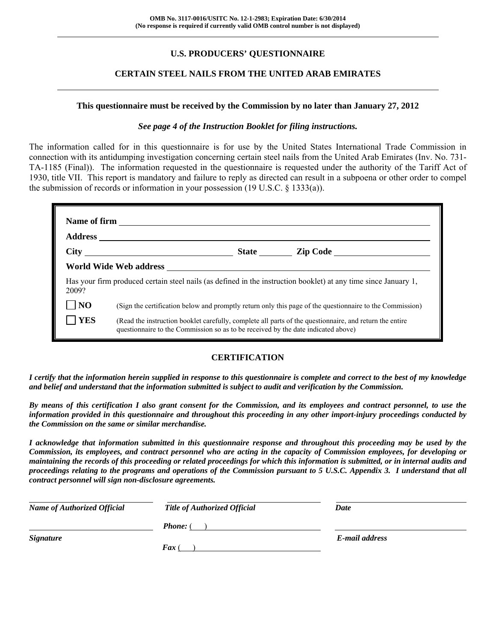# **U.S. PRODUCERS' QUESTIONNAIRE**

## **CERTAIN STEEL NAILS FROM THE UNITED ARAB EMIRATES**

#### **This questionnaire must be received by the Commission by no later than January 27, 2012**

#### *See page 4 of the Instruction Booklet for filing instructions.*

The information called for in this questionnaire is for use by the United States International Trade Commission in connection with its antidumping investigation concerning certain steel nails from the United Arab Emirates (Inv. No. 731- TA-1185 (Final)). The information requested in the questionnaire is requested under the authority of the Tariff Act of 1930, title VII. This report is mandatory and failure to reply as directed can result in a subpoena or other order to compel the submission of records or information in your possession (19 U.S.C. § 1333(a)).

| Has your firm produced certain steel nails (as defined in the instruction booklet) at any time since January 1,<br>2009? |                                                                                                                                                                                              |  |  |  |  |
|--------------------------------------------------------------------------------------------------------------------------|----------------------------------------------------------------------------------------------------------------------------------------------------------------------------------------------|--|--|--|--|
| N <sub>O</sub>                                                                                                           | (Sign the certification below and promptly return only this page of the questionnaire to the Commission)                                                                                     |  |  |  |  |
| YES                                                                                                                      | (Read the instruction booklet carefully, complete all parts of the questionnaire, and return the entire<br>questionnaire to the Commission so as to be received by the date indicated above) |  |  |  |  |

#### **CERTIFICATION**

*I certify that the information herein supplied in response to this questionnaire is complete and correct to the best of my knowledge and belief and understand that the information submitted is subject to audit and verification by the Commission.* 

*By means of this certification I also grant consent for the Commission, and its employees and contract personnel, to use the information provided in this questionnaire and throughout this proceeding in any other import-injury proceedings conducted by the Commission on the same or similar merchandise.* 

*I acknowledge that information submitted in this questionnaire response and throughout this proceeding may be used by the Commission, its employees, and contract personnel who are acting in the capacity of Commission employees, for developing or maintaining the records of this proceeding or related proceedings for which this information is submitted, or in internal audits and proceedings relating to the programs and operations of the Commission pursuant to 5 U.S.C. Appendix 3. I understand that all contract personnel will sign non-disclosure agreements.* 

| <b>Name of Authorized Official</b> | <b>Title of Authorized Official</b> | Date           |
|------------------------------------|-------------------------------------|----------------|
|                                    | <b>Phone:</b> (                     |                |
| <b>Signature</b>                   |                                     | E-mail address |
|                                    | $\boldsymbol{F}$ ax (               |                |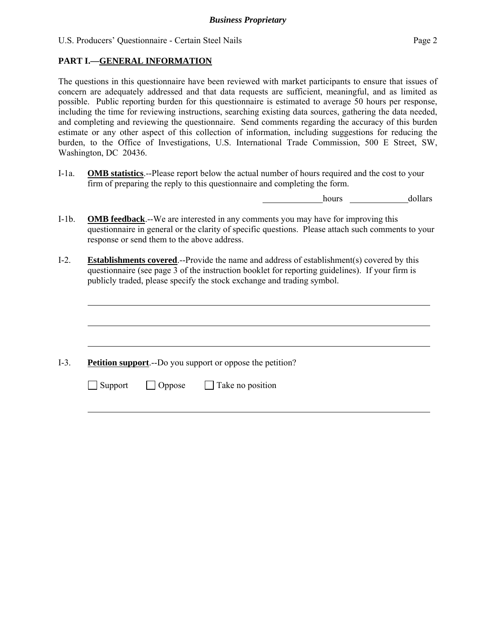# **PART I.—GENERAL INFORMATION**

l

l

l

l

The questions in this questionnaire have been reviewed with market participants to ensure that issues of concern are adequately addressed and that data requests are sufficient, meaningful, and as limited as possible. Public reporting burden for this questionnaire is estimated to average 50 hours per response, including the time for reviewing instructions, searching existing data sources, gathering the data needed, and completing and reviewing the questionnaire. Send comments regarding the accuracy of this burden estimate or any other aspect of this collection of information, including suggestions for reducing the burden, to the Office of Investigations, U.S. International Trade Commission, 500 E Street, SW, Washington, DC 20436.

I-1a. **OMB statistics**.--Please report below the actual number of hours required and the cost to your firm of preparing the reply to this questionnaire and completing the form.

hours dollars

- I-1b. **OMB feedback**.--We are interested in any comments you may have for improving this questionnaire in general or the clarity of specific questions. Please attach such comments to your response or send them to the above address.
- I-2. **Establishments covered**.--Provide the name and address of establishment(s) covered by this questionnaire (see page 3 of the instruction booklet for reporting guidelines). If your firm is publicly traded, please specify the stock exchange and trading symbol.

I-3. **Petition support**.--Do you support or oppose the petition?

 $\Box$  Support  $\Box$  Oppose  $\Box$  Take no position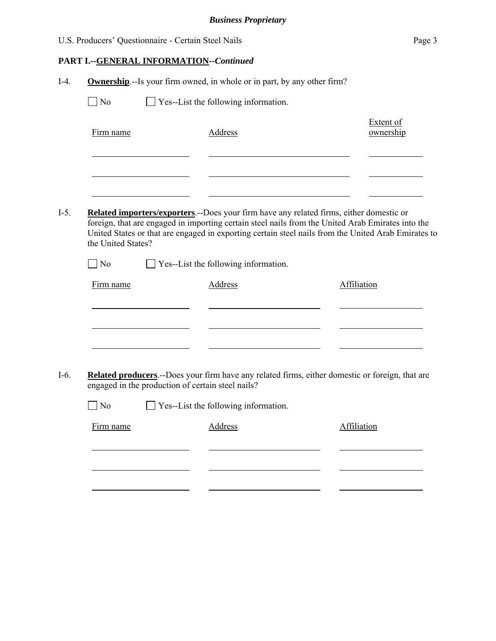# **PART I.--GENERAL INFORMATION***--Continued*

|                                                   | $\Box$ Yes--List the following information.                                                                                                                                                                                                                                                                                                         |                               |
|---------------------------------------------------|-----------------------------------------------------------------------------------------------------------------------------------------------------------------------------------------------------------------------------------------------------------------------------------------------------------------------------------------------------|-------------------------------|
| Firm name                                         | Address                                                                                                                                                                                                                                                                                                                                             | <b>Extent of</b><br>ownership |
|                                                   |                                                                                                                                                                                                                                                                                                                                                     |                               |
| the United States?<br>$\log$                      | <b>Related importers/exporters.</b> --Does your firm have any related firms, either domestic or<br>foreign, that are engaged in importing certain steel nails from the United Arab Emirates into the<br>United States or that are engaged in exporting certain steel nails from the United Arab Emirates to<br>Yes--List the following information. |                               |
|                                                   |                                                                                                                                                                                                                                                                                                                                                     |                               |
| Firm name                                         | Address                                                                                                                                                                                                                                                                                                                                             | Affiliation                   |
|                                                   |                                                                                                                                                                                                                                                                                                                                                     |                               |
|                                                   |                                                                                                                                                                                                                                                                                                                                                     |                               |
|                                                   | Related producers.--Does your firm have any related firms, either domestic or foreign, that are                                                                                                                                                                                                                                                     |                               |
| engaged in the production of certain steel nails? |                                                                                                                                                                                                                                                                                                                                                     |                               |
| $\vert$ No                                        | $\Box$ Yes--List the following information.                                                                                                                                                                                                                                                                                                         |                               |
| Firm name                                         | <b>Address</b>                                                                                                                                                                                                                                                                                                                                      | Affiliation                   |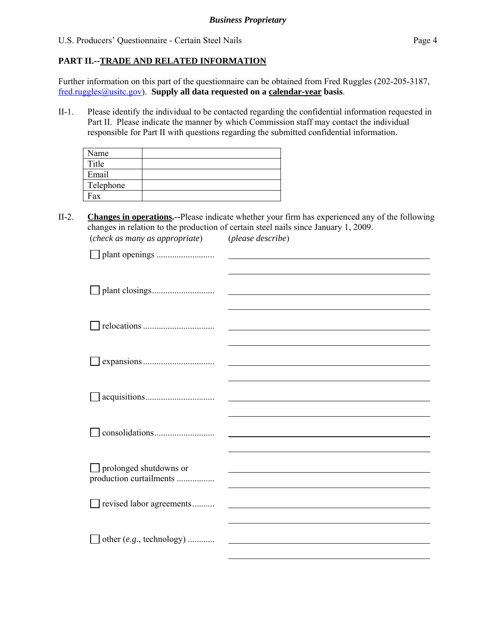# **PART II.--TRADE AND RELATED INFORMATION**

Further information on this part of the questionnaire can be obtained from Fred Ruggles (202-205-3187, fred.ruggles@usitc.gov). **Supply all data requested on a calendar-year basis**.

II-1. Please identify the individual to be contacted regarding the confidential information requested in Part II. Please indicate the manner by which Commission staff may contact the individual responsible for Part II with questions regarding the submitted confidential information.

| Name      |  |
|-----------|--|
| Title     |  |
| Email     |  |
| Telephone |  |
| Fax       |  |

II-2. **Changes in operations.--**Please indicate whether your firm has experienced any of the following changes in relation to the production of certain steel nails since January 1, 2009. (*check as many as appropriate*) (*please describe*)

| $\Box$ prolonged shutdowns or      |  |
|------------------------------------|--|
| production curtailments            |  |
|                                    |  |
| revised labor agreements           |  |
|                                    |  |
| other $(e.g., \text{ technology})$ |  |
|                                    |  |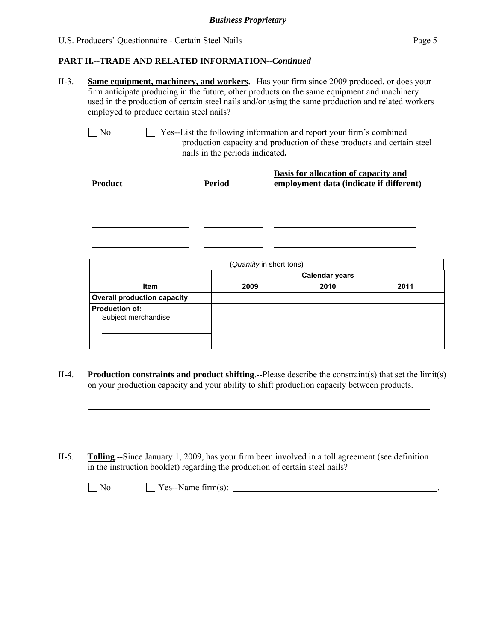# **PART II.--TRADE AND RELATED INFORMATION***--Continued*

II-3. **Same equipment, machinery, and workers.--**Has your firm since 2009 produced, or does your firm anticipate producing in the future, other products on the same equipment and machinery used in the production of certain steel nails and/or using the same production and related workers employed to produce certain steel nails?

 $\Box$  No  $\Box$  Yes--List the following information and report your firm's combined production capacity and production of these products and certain steel nails in the periods indicated**.**

| <b>Product</b> | <b>Period</b> | <b>Basis for allocation of capacity and</b><br>employment data (indicate if different) |
|----------------|---------------|----------------------------------------------------------------------------------------|
|                |               |                                                                                        |
|                |               |                                                                                        |

| (Quantity in short tons)                     |                       |      |      |  |
|----------------------------------------------|-----------------------|------|------|--|
|                                              | <b>Calendar years</b> |      |      |  |
| <b>Item</b>                                  | 2009                  | 2010 | 2011 |  |
| <b>Overall production capacity</b>           |                       |      |      |  |
| <b>Production of:</b><br>Subject merchandise |                       |      |      |  |
|                                              |                       |      |      |  |
|                                              |                       |      |      |  |

- II-4. **Production constraints and product shifting**.--Please describe the constraint(s) that set the limit(s) on your production capacity and your ability to shift production capacity between products.
- II-5. **Tolling**.--Since January 1, 2009, has your firm been involved in a toll agreement (see definition in the instruction booklet) regarding the production of certain steel nails?

| × |
|---|
|---|

l

l

 $\Box$  Yes--Name firm(s):  $\Box$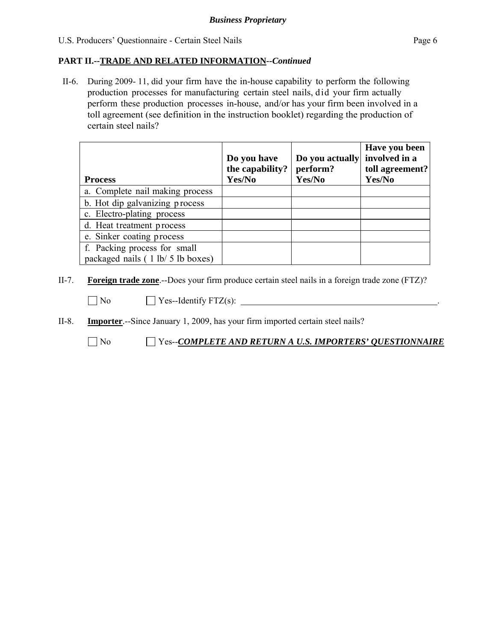## **PART II.--TRADE AND RELATED INFORMATION***--Continued*

II-6. During 2009- 11, did your firm have the in-house capability to perform the following production processes for manufacturing certain steel nails, did your firm actually perform these production processes in-house, and/or has your firm been involved in a toll agreement (see definition in the instruction booklet) regarding the production of certain steel nails?

| <b>Process</b>                                                    | Do you have<br>the capability?<br>Yes/No | Do you actually<br>perform?<br>Yes/No | Have you been<br>involved in a<br>toll agreement?<br>Yes/No |
|-------------------------------------------------------------------|------------------------------------------|---------------------------------------|-------------------------------------------------------------|
| a. Complete nail making process                                   |                                          |                                       |                                                             |
| b. Hot dip galvanizing process                                    |                                          |                                       |                                                             |
| c. Electro-plating process                                        |                                          |                                       |                                                             |
| d. Heat treatment process                                         |                                          |                                       |                                                             |
| e. Sinker coating process                                         |                                          |                                       |                                                             |
| f. Packing process for small<br>packaged nails (1 lb/ 5 lb boxes) |                                          |                                       |                                                             |

II-7. **Foreign trade zone**.--Does your firm produce certain steel nails in a foreign trade zone (FTZ)?

 $\Box$  No  $\Box$  Yes--Identify FTZ(s):  $\Box$ 

II-8. **Importer**.--Since January 1, 2009, has your firm imported certain steel nails?

No Yes--*COMPLETE AND RETURN A U.S. IMPORTERS' QUESTIONNAIRE*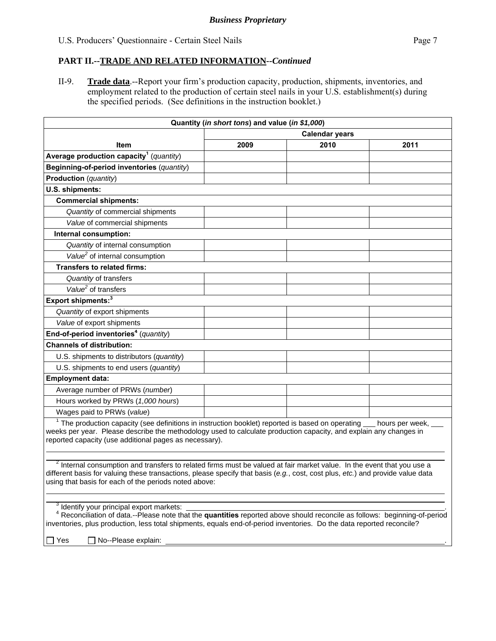## **PART II.--TRADE AND RELATED INFORMATION***--Continued*

II-9. **Trade data**.--Report your firm's production capacity, production, shipments, inventories, and employment related to the production of certain steel nails in your U.S. establishment(s) during the specified periods. (See definitions in the instruction booklet.)

| Quantity (in short tons) and value (in \$1,000)                                                                                                                                                                                                                                                                                             |                       |      |      |  |
|---------------------------------------------------------------------------------------------------------------------------------------------------------------------------------------------------------------------------------------------------------------------------------------------------------------------------------------------|-----------------------|------|------|--|
|                                                                                                                                                                                                                                                                                                                                             | <b>Calendar years</b> |      |      |  |
| Item                                                                                                                                                                                                                                                                                                                                        | 2009                  | 2010 | 2011 |  |
| Average production capacity <sup>1</sup> (quantity)                                                                                                                                                                                                                                                                                         |                       |      |      |  |
| Beginning-of-period inventories (quantity)                                                                                                                                                                                                                                                                                                  |                       |      |      |  |
| <b>Production</b> (quantity)                                                                                                                                                                                                                                                                                                                |                       |      |      |  |
| U.S. shipments:                                                                                                                                                                                                                                                                                                                             |                       |      |      |  |
| <b>Commercial shipments:</b>                                                                                                                                                                                                                                                                                                                |                       |      |      |  |
| Quantity of commercial shipments                                                                                                                                                                                                                                                                                                            |                       |      |      |  |
| Value of commercial shipments                                                                                                                                                                                                                                                                                                               |                       |      |      |  |
| Internal consumption:                                                                                                                                                                                                                                                                                                                       |                       |      |      |  |
| Quantity of internal consumption                                                                                                                                                                                                                                                                                                            |                       |      |      |  |
| Value <sup>2</sup> of internal consumption                                                                                                                                                                                                                                                                                                  |                       |      |      |  |
| <b>Transfers to related firms:</b>                                                                                                                                                                                                                                                                                                          |                       |      |      |  |
| Quantity of transfers                                                                                                                                                                                                                                                                                                                       |                       |      |      |  |
| Value <sup>2</sup> of transfers                                                                                                                                                                                                                                                                                                             |                       |      |      |  |
| Export shipments: <sup>3</sup>                                                                                                                                                                                                                                                                                                              |                       |      |      |  |
| Quantity of export shipments                                                                                                                                                                                                                                                                                                                |                       |      |      |  |
| Value of export shipments                                                                                                                                                                                                                                                                                                                   |                       |      |      |  |
| End-of-period inventories <sup>4</sup> (quantity)                                                                                                                                                                                                                                                                                           |                       |      |      |  |
| <b>Channels of distribution:</b>                                                                                                                                                                                                                                                                                                            |                       |      |      |  |
| U.S. shipments to distributors (quantity)                                                                                                                                                                                                                                                                                                   |                       |      |      |  |
| U.S. shipments to end users (quantity)                                                                                                                                                                                                                                                                                                      |                       |      |      |  |
| <b>Employment data:</b>                                                                                                                                                                                                                                                                                                                     |                       |      |      |  |
| Average number of PRWs (number)                                                                                                                                                                                                                                                                                                             |                       |      |      |  |
| Hours worked by PRWs (1,000 hours)                                                                                                                                                                                                                                                                                                          |                       |      |      |  |
| Wages paid to PRWs (value)                                                                                                                                                                                                                                                                                                                  |                       |      |      |  |
| $1$ The production capacity (see definitions in instruction booklet) reported is based on operating $\_\_$ hours per week,<br>weeks per year. Please describe the methodology used to calculate production capacity, and explain any changes in<br>reported capacity (use additional pages as necessary).                                   |                       |      |      |  |
| <sup>2</sup> Internal consumption and transfers to related firms must be valued at fair market value. In the event that you use a<br>different basis for valuing these transactions, please specify that basis (e.g., cost, cost plus, etc.) and provide value data<br>using that basis for each of the periods noted above:                |                       |      |      |  |
| <sup>3</sup> Identify your principal export markets:<br>Reconciliation of data.--Please note that the quantities reported above should reconcile as follows: beginning-of-period<br>inventories, plus production, less total shipments, equals end-of-period inventories. Do the data reported reconcile?<br>] Yes<br>O No--Please explain: |                       |      |      |  |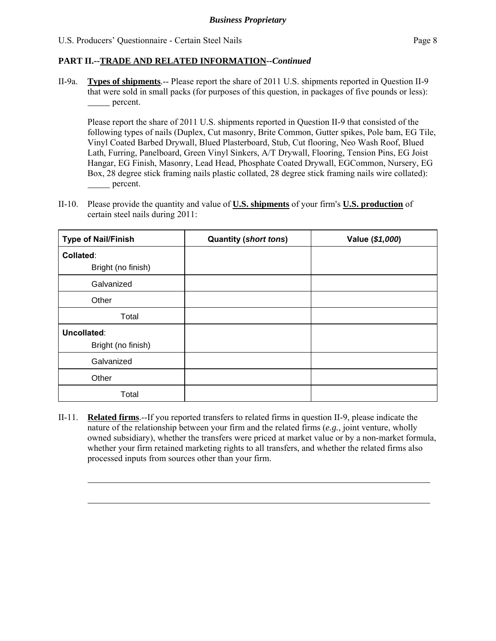$\overline{a}$ 

l

# **PART II.--TRADE AND RELATED INFORMATION***--Continued*

II-9a. **Types of shipments**.-- Please report the share of 2011 U.S. shipments reported in Question II-9 that were sold in small packs (for purposes of this question, in packages of five pounds or less): percent.

Please report the share of 2011 U.S. shipments reported in Question II-9 that consisted of the following types of nails (Duplex, Cut masonry, Brite Common, Gutter spikes, Pole bam, EG Tile, Vinyl Coated Barbed Drywall, Blued Plasterboard, Stub, Cut flooring, Neo Wash Roof, Blued Lath, Furring, Panelboard, Green Vinyl Sinkers, A/T Drywall, Flooring, Tension Pins, EG Joist Hangar, EG Finish, Masonry, Lead Head, Phosphate Coated Drywall, EGCommon, Nursery, EG Box, 28 degree stick framing nails plastic collated, 28 degree stick framing nails wire collated): percent.

II-10. Please provide the quantity and value of **U.S. shipments** of your firm's **U.S. production** of certain steel nails during 2011:

| <b>Type of Nail/Finish</b> | <b>Quantity (short tons)</b> | Value (\$1,000) |
|----------------------------|------------------------------|-----------------|
| Collated:                  |                              |                 |
| Bright (no finish)         |                              |                 |
| Galvanized                 |                              |                 |
| Other                      |                              |                 |
| Total                      |                              |                 |
| Uncollated:                |                              |                 |
| Bright (no finish)         |                              |                 |
| Galvanized                 |                              |                 |
| Other                      |                              |                 |
| Total                      |                              |                 |

II-11. **Related firms**.--If you reported transfers to related firms in question II-9, please indicate the nature of the relationship between your firm and the related firms (*e.g.*, joint venture, wholly owned subsidiary), whether the transfers were priced at market value or by a non-market formula, whether your firm retained marketing rights to all transfers, and whether the related firms also processed inputs from sources other than your firm.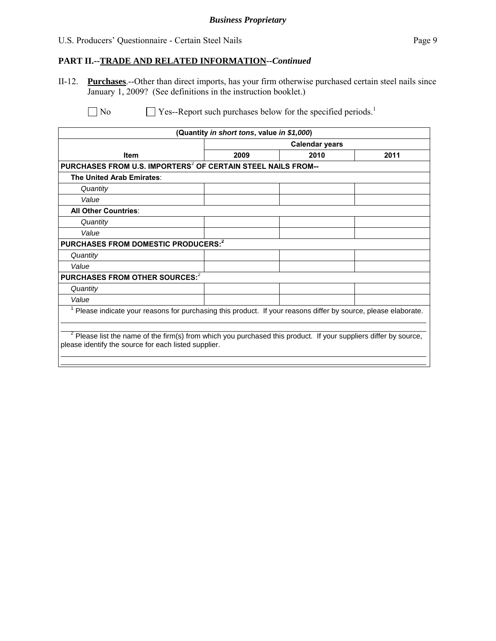#### *Business Proprietary*

#### U.S. Producers' Questionnaire - Certain Steel Nails Page 9

#### **PART II.--TRADE AND RELATED INFORMATION***--Continued*

II-12. **Purchases**.--Other than direct imports, has your firm otherwise purchased certain steel nails since January 1, 2009? (See definitions in the instruction booklet.)

 $\Box$  No  $\Box$  Yes--Report such purchases below for the specified periods.<sup>1</sup>

| (Quantity in short tons, value in \$1,000)                                                                                                                             |                       |      |      |  |
|------------------------------------------------------------------------------------------------------------------------------------------------------------------------|-----------------------|------|------|--|
|                                                                                                                                                                        | <b>Calendar years</b> |      |      |  |
| <b>Item</b>                                                                                                                                                            | 2009                  | 2010 | 2011 |  |
| PURCHASES FROM U.S. IMPORTERS <sup>2</sup> OF CERTAIN STEEL NAILS FROM--                                                                                               |                       |      |      |  |
| The United Arab Emirates:                                                                                                                                              |                       |      |      |  |
| Quantity                                                                                                                                                               |                       |      |      |  |
| Value                                                                                                                                                                  |                       |      |      |  |
| <b>All Other Countries:</b>                                                                                                                                            |                       |      |      |  |
| Quantity                                                                                                                                                               |                       |      |      |  |
| Value                                                                                                                                                                  |                       |      |      |  |
| PURCHASES FROM DOMESTIC PRODUCERS: <sup>2</sup>                                                                                                                        |                       |      |      |  |
| Quantity                                                                                                                                                               |                       |      |      |  |
| Value                                                                                                                                                                  |                       |      |      |  |
| PURCHASES FROM OTHER SOURCES: <sup>2</sup>                                                                                                                             |                       |      |      |  |
| Quantity                                                                                                                                                               |                       |      |      |  |
| Value                                                                                                                                                                  |                       |      |      |  |
| Please indicate your reasons for purchasing this product. If your reasons differ by source, please elaborate.                                                          |                       |      |      |  |
|                                                                                                                                                                        |                       |      |      |  |
| Please list the name of the firm(s) from which you purchased this product. If your suppliers differ by source,<br>please identify the source for each listed supplier. |                       |      |      |  |
|                                                                                                                                                                        |                       |      |      |  |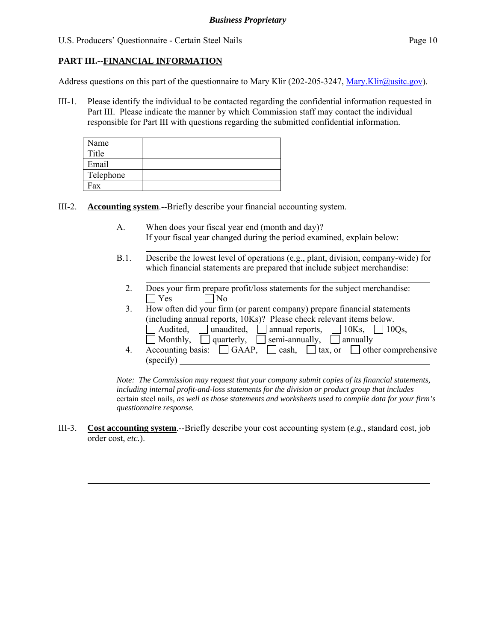# **PART III.--FINANCIAL INFORMATION**

l

 $\overline{a}$ 

l

Address questions on this part of the questionnaire to Mary Klir (202-205-3247, Mary.Klir@usitc.gov).

III-1. Please identify the individual to be contacted regarding the confidential information requested in Part III. Please indicate the manner by which Commission staff may contact the individual responsible for Part III with questions regarding the submitted confidential information.

| Name      |  |
|-----------|--|
| Title     |  |
| Email     |  |
| Telephone |  |
| Fax       |  |

III-2. **Accounting system**.--Briefly describe your financial accounting system.

- A. When does your fiscal year end (month and day)? If your fiscal year changed during the period examined, explain below:
- B.1. Describe the lowest level of operations (e.g., plant, division, company-wide) for which financial statements are prepared that include subject merchandise:
	- 2. Does your firm prepare profit/loss statements for the subject merchandise:  $\bigcap$  Yes  $\bigcap$  No
	- 3. How often did your firm (or parent company) prepare financial statements (including annual reports, 10Ks)? Please check relevant items below. Audited, unaudited, annual reports,  $\Box$  10Ks,  $\Box$  10Qs,  $\overline{\Box}$  Monthly,  $\overline{\Box}$  quarterly,  $\overline{\Box}$  semi-annually,  $\overline{\Box}$  annually 4. Accounting basis:  $\Box$  GAAP,  $\Box$  cash,  $\Box$  tax, or  $\Box$  other comprehensive
	- (specify)

*Note: The Commission may request that your company submit copies of its financial statements, including internal profit-and-loss statements for the division or product group that includes*  certain steel nails*, as well as those statements and worksheets used to compile data for your firm's questionnaire response.* 

III-3. **Cost accounting system**.--Briefly describe your cost accounting system (*e.g.*, standard cost, job order cost, *etc.*).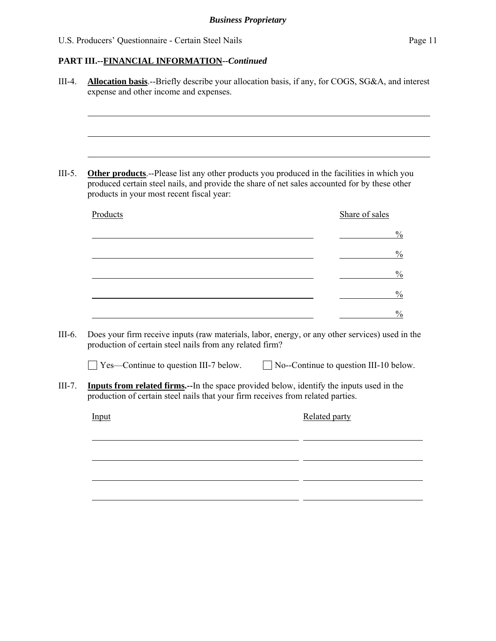# **PART III.--FINANCIAL INFORMATION***--Continued*

| products in your most recent fiscal year:                                                                                                                                                   |  | <b>Other products</b> --Please list any other products you produced in the facilities in which you<br>produced certain steel nails, and provide the share of net sales accounted for by these other |
|---------------------------------------------------------------------------------------------------------------------------------------------------------------------------------------------|--|-----------------------------------------------------------------------------------------------------------------------------------------------------------------------------------------------------|
| Products                                                                                                                                                                                    |  | Share of sales                                                                                                                                                                                      |
|                                                                                                                                                                                             |  |                                                                                                                                                                                                     |
|                                                                                                                                                                                             |  |                                                                                                                                                                                                     |
|                                                                                                                                                                                             |  |                                                                                                                                                                                                     |
|                                                                                                                                                                                             |  |                                                                                                                                                                                                     |
|                                                                                                                                                                                             |  |                                                                                                                                                                                                     |
| production of certain steel nails from any related firm?<br>$\Box$ Yes—Continue to question III-7 below.<br>production of certain steel nails that your firm receives from related parties. |  | $\Box$ No--Continue to question III-10 below.<br><b>Inputs from related firms.</b> --In the space provided below, identify the inputs used in the                                                   |
| Input                                                                                                                                                                                       |  | Related party                                                                                                                                                                                       |
|                                                                                                                                                                                             |  |                                                                                                                                                                                                     |
|                                                                                                                                                                                             |  |                                                                                                                                                                                                     |
|                                                                                                                                                                                             |  |                                                                                                                                                                                                     |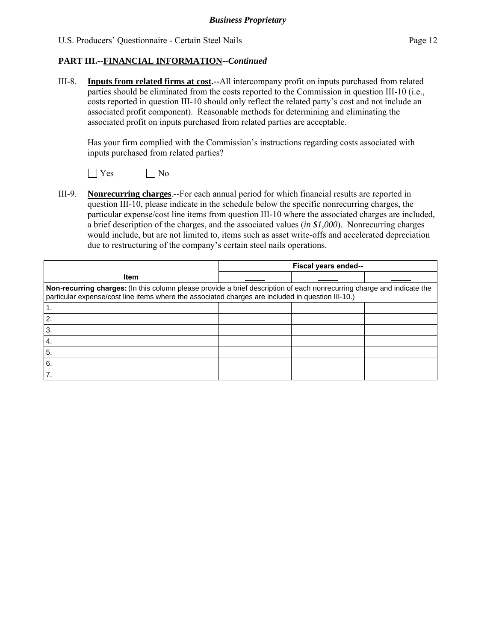# **PART III.--FINANCIAL INFORMATION***--Continued*

III-8. **Inputs from related firms at cost.--**All intercompany profit on inputs purchased from related parties should be eliminated from the costs reported to the Commission in question III-10 (i.e., costs reported in question III-10 should only reflect the related party's cost and not include an associated profit component). Reasonable methods for determining and eliminating the associated profit on inputs purchased from related parties are acceptable.

 Has your firm complied with the Commission's instructions regarding costs associated with inputs purchased from related parties?



III-9. **Nonrecurring charges**.--For each annual period for which financial results are reported in question III-10, please indicate in the schedule below the specific nonrecurring charges, the particular expense/cost line items from question III-10 where the associated charges are included, a brief description of the charges, and the associated values (*in \$1,000*). Nonrecurring charges would include, but are not limited to, items such as asset write-offs and accelerated depreciation due to restructuring of the company's certain steel nails operations.

|                                                                                                                                                                                                                             |  | Fiscal years ended-- |  |
|-----------------------------------------------------------------------------------------------------------------------------------------------------------------------------------------------------------------------------|--|----------------------|--|
| <b>Item</b>                                                                                                                                                                                                                 |  |                      |  |
| Non-recurring charges: (In this column please provide a brief description of each nonrecurring charge and indicate the<br>particular expense/cost line items where the associated charges are included in question III-10.) |  |                      |  |
|                                                                                                                                                                                                                             |  |                      |  |
| $\overline{2}$                                                                                                                                                                                                              |  |                      |  |
| l 3.                                                                                                                                                                                                                        |  |                      |  |
| $\overline{4}$ .                                                                                                                                                                                                            |  |                      |  |
| 5.                                                                                                                                                                                                                          |  |                      |  |
| <sup>6.</sup>                                                                                                                                                                                                               |  |                      |  |
| $\overline{7}$                                                                                                                                                                                                              |  |                      |  |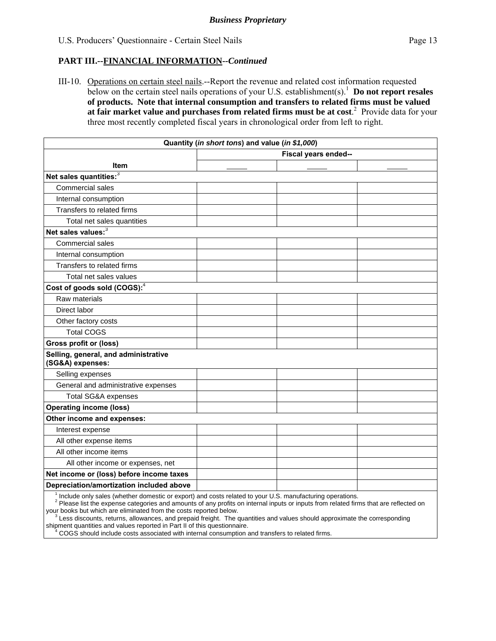### **PART III.--FINANCIAL INFORMATION***--Continued*

III-10. Operations on certain steel nails.--Report the revenue and related cost information requested below on the certain steel nails operations of your U.S. establishment(s).<sup>1</sup> **Do not report resales of products. Note that internal consumption and transfers to related firms must be valued at fair market value and purchases from related firms must be at cost**. 2 Provide data for your three most recently completed fiscal years in chronological order from left to right.

|                                                                                                          | Quantity (in short tons) and value (in \$1,000) |                      |  |
|----------------------------------------------------------------------------------------------------------|-------------------------------------------------|----------------------|--|
|                                                                                                          |                                                 | Fiscal years ended-- |  |
| <b>Item</b>                                                                                              |                                                 |                      |  |
| Net sales quantities:3                                                                                   |                                                 |                      |  |
| Commercial sales                                                                                         |                                                 |                      |  |
| Internal consumption                                                                                     |                                                 |                      |  |
| Transfers to related firms                                                                               |                                                 |                      |  |
| Total net sales quantities                                                                               |                                                 |                      |  |
| Net sales values: <sup>3</sup>                                                                           |                                                 |                      |  |
| Commercial sales                                                                                         |                                                 |                      |  |
| Internal consumption                                                                                     |                                                 |                      |  |
| Transfers to related firms                                                                               |                                                 |                      |  |
| Total net sales values                                                                                   |                                                 |                      |  |
| Cost of goods sold (COGS): <sup>4</sup>                                                                  |                                                 |                      |  |
| Raw materials                                                                                            |                                                 |                      |  |
| Direct labor                                                                                             |                                                 |                      |  |
| Other factory costs                                                                                      |                                                 |                      |  |
| <b>Total COGS</b>                                                                                        |                                                 |                      |  |
| <b>Gross profit or (loss)</b>                                                                            |                                                 |                      |  |
| Selling, general, and administrative<br>(SG&A) expenses:                                                 |                                                 |                      |  |
| Selling expenses                                                                                         |                                                 |                      |  |
| General and administrative expenses                                                                      |                                                 |                      |  |
| Total SG&A expenses                                                                                      |                                                 |                      |  |
| <b>Operating income (loss)</b>                                                                           |                                                 |                      |  |
| Other income and expenses:                                                                               |                                                 |                      |  |
| Interest expense                                                                                         |                                                 |                      |  |
| All other expense items                                                                                  |                                                 |                      |  |
| All other income items                                                                                   |                                                 |                      |  |
| All other income or expenses, net                                                                        |                                                 |                      |  |
| Net income or (loss) before income taxes                                                                 |                                                 |                      |  |
| Depreciation/amortization included above                                                                 |                                                 |                      |  |
| Include only sales (whether domestic or export) and costs related to your U.S. manufacturing operations. |                                                 |                      |  |

Include only sales (whether domestic or export) and costs related to your U.S. manufacturing operations.

<sup>2</sup> Please list the expense categories and amounts of any profits on internal inputs or inputs from related firms that are reflected on your books but which are eliminated from the costs reported below.

 $\frac{3}{3}$ Less discounts, returns, allowances, and prepaid freight. The quantities and values should approximate the corresponding

shipment quantities and values reported in Part II of this questionnaire.<br><sup>4</sup> COGS should include costs associated with internal consumption and transfers to related firms.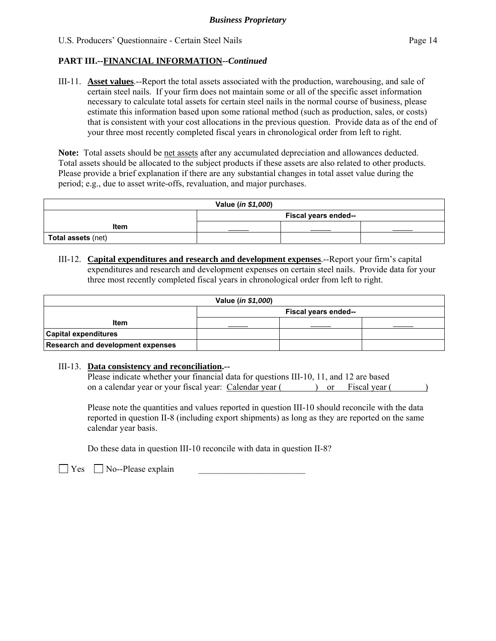# **PART III.--FINANCIAL INFORMATION***--Continued*

III-11. **Asset values**.--Report the total assets associated with the production, warehousing, and sale of certain steel nails. If your firm does not maintain some or all of the specific asset information necessary to calculate total assets for certain steel nails in the normal course of business, please estimate this information based upon some rational method (such as production, sales, or costs) that is consistent with your cost allocations in the previous question. Provide data as of the end of your three most recently completed fiscal years in chronological order from left to right.

**Note:** Total assets should be net assets after any accumulated depreciation and allowances deducted. Total assets should be allocated to the subject products if these assets are also related to other products. Please provide a brief explanation if there are any substantial changes in total asset value during the period; e.g., due to asset write-offs, revaluation, and major purchases.

| Value (in \$1,000) |                      |  |  |  |
|--------------------|----------------------|--|--|--|
|                    | Fiscal years ended-- |  |  |  |
| Item               |                      |  |  |  |
| Total assets (net) |                      |  |  |  |

III-12. **Capital expenditures and research and development expenses**.--Report your firm's capital expenditures and research and development expenses on certain steel nails. Provide data for your three most recently completed fiscal years in chronological order from left to right.

| Value ( <i>in \$1,000</i> )              |                      |  |  |  |  |
|------------------------------------------|----------------------|--|--|--|--|
|                                          | Fiscal years ended-- |  |  |  |  |
| <b>Item</b>                              |                      |  |  |  |  |
| <b>Capital expenditures</b>              |                      |  |  |  |  |
| <b>Research and development expenses</b> |                      |  |  |  |  |

#### III-13. **Data consistency and reconciliation.--**

| Please indicate whether your financial data for questions III-10, 11, and 12 are based |  |                      |  |
|----------------------------------------------------------------------------------------|--|----------------------|--|
| on a calendar year or your fiscal year: Calendar year (                                |  | ) or Fiscal year $($ |  |

Please note the quantities and values reported in question III-10 should reconcile with the data reported in question II-8 (including export shipments) as long as they are reported on the same calendar year basis.

Do these data in question III-10 reconcile with data in question II-8?

 $\Box$  Yes  $\Box$  No--Please explain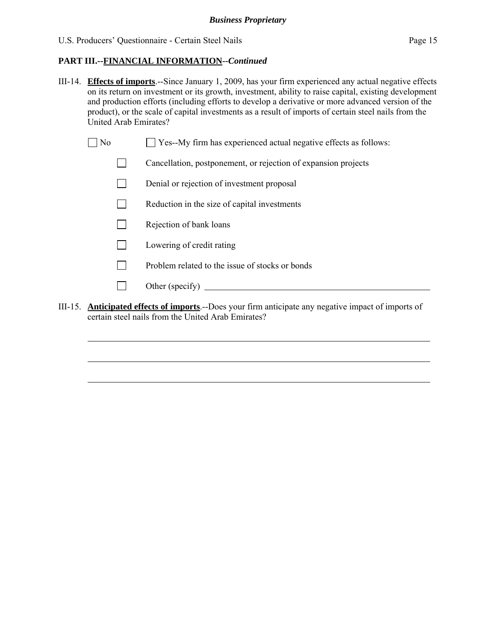# **PART III.--FINANCIAL INFORMATION***--Continued*

- III-14. **Effects of imports**.--Since January 1, 2009, has your firm experienced any actual negative effects on its return on investment or its growth, investment, ability to raise capital, existing development and production efforts (including efforts to develop a derivative or more advanced version of the product), or the scale of capital investments as a result of imports of certain steel nails from the United Arab Emirates?
	- $\Box$  No  $\Box$  Yes--My firm has experienced actual negative effects as follows:
		- Cancellation, postponement, or rejection of expansion projects
		- Denial or rejection of investment proposal
		- $\Box$  Reduction in the size of capital investments
		- $\Box$  Rejection of bank loans
		- **Lowering of credit rating**
		- $\n$  Problem related to the issue of stocks or bonds
		- Other (specify)  $\qquad \qquad$

l

l

l

III-15. **Anticipated effects of imports**.--Does your firm anticipate any negative impact of imports of certain steel nails from the United Arab Emirates?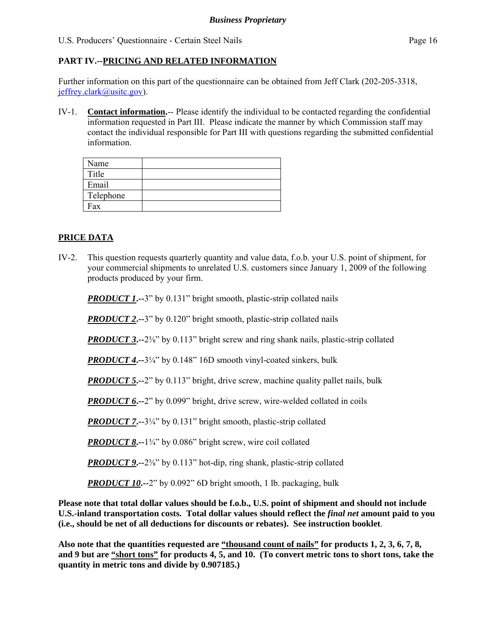# **PART IV.--PRICING AND RELATED INFORMATION**

Further information on this part of the questionnaire can be obtained from Jeff Clark (202-205-3318, jeffrey.clark@usitc.gov).

IV-1. **Contact information.**-- Please identify the individual to be contacted regarding the confidential information requested in Part III. Please indicate the manner by which Commission staff may contact the individual responsible for Part III with questions regarding the submitted confidential information.

| Name      |  |
|-----------|--|
| Title     |  |
| Email     |  |
| Telephone |  |
| Fax       |  |

## **PRICE DATA**

IV-2. This question requests quarterly quantity and value data, f.o.b. your U.S. point of shipment, for your commercial shipments to unrelated U.S. customers since January 1, 2009 of the following products produced by your firm.

*PRODUCT 1***.**-3" by 0.131" bright smooth, plastic-strip collated nails

**PRODUCT 2.--3**" by 0.120" bright smooth, plastic-strip collated nails

*PRODUCT 3***.**--2<sup>3</sup>/<sub>8</sub>" by 0.113" bright screw and ring shank nails, plastic-strip collated

*PRODUCT 4***.--**3¼" by 0.148" 16D smooth vinyl-coated sinkers, bulk

**PRODUCT 5.**—2" by 0.113" bright, drive screw, machine quality pallet nails, bulk

*PRODUCT 6***.**-2" by 0.099" bright, drive screw, wire-welded collated in coils

*PRODUCT 7***.**-3¼" by 0.131" bright smooth, plastic-strip collated

*PRODUCT 8***.**--1¼" by 0.086" bright screw, wire coil collated

*PRODUCT 9***.--**2⅜" by 0.113" hot-dip, ring shank, plastic-strip collated

*PRODUCT 10***.**--2" by 0.092" 6D bright smooth, 1 lb. packaging, bulk

**Please note that total dollar values should be f.o.b., U.S. point of shipment and should not include U.S.-inland transportation costs. Total dollar values should reflect the** *final net* **amount paid to you (i.e., should be net of all deductions for discounts or rebates). See instruction booklet**.

**Also note that the quantities requested are "thousand count of nails" for products 1, 2, 3, 6, 7, 8, and 9 but are "short tons" for products 4, 5, and 10. (To convert metric tons to short tons, take the quantity in metric tons and divide by 0.907185.)**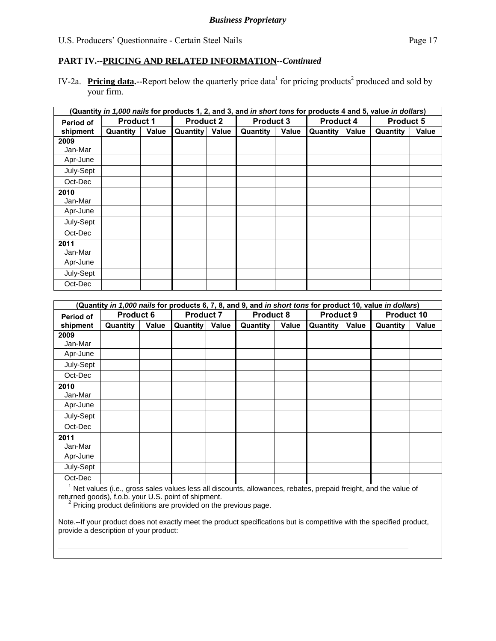IV-2a. Pricing data.--Report below the quarterly price data<sup>1</sup> for pricing products<sup>2</sup> produced and sold by your firm.

|                  | (Quantity <i>in 1,000 nails</i> for products 1, 2, and 3, and <i>in short tons</i> for products 4 and 5, value <i>in dollars</i> ) |       |          |                  |                 |                  |          |                  |          |                  |  |
|------------------|------------------------------------------------------------------------------------------------------------------------------------|-------|----------|------------------|-----------------|------------------|----------|------------------|----------|------------------|--|
| <b>Period of</b> | <b>Product 1</b>                                                                                                                   |       |          | <b>Product 2</b> |                 | <b>Product 3</b> |          | <b>Product 4</b> |          | <b>Product 5</b> |  |
| shipment         | Quantity                                                                                                                           | Value | Quantity | Value            | <b>Quantity</b> | Value            | Quantity | Value            | Quantity | <b>Value</b>     |  |
| 2009             |                                                                                                                                    |       |          |                  |                 |                  |          |                  |          |                  |  |
| Jan-Mar          |                                                                                                                                    |       |          |                  |                 |                  |          |                  |          |                  |  |
| Apr-June         |                                                                                                                                    |       |          |                  |                 |                  |          |                  |          |                  |  |
| July-Sept        |                                                                                                                                    |       |          |                  |                 |                  |          |                  |          |                  |  |
| Oct-Dec          |                                                                                                                                    |       |          |                  |                 |                  |          |                  |          |                  |  |
| 2010             |                                                                                                                                    |       |          |                  |                 |                  |          |                  |          |                  |  |
| Jan-Mar          |                                                                                                                                    |       |          |                  |                 |                  |          |                  |          |                  |  |
| Apr-June         |                                                                                                                                    |       |          |                  |                 |                  |          |                  |          |                  |  |
| July-Sept        |                                                                                                                                    |       |          |                  |                 |                  |          |                  |          |                  |  |
| Oct-Dec          |                                                                                                                                    |       |          |                  |                 |                  |          |                  |          |                  |  |
| 2011             |                                                                                                                                    |       |          |                  |                 |                  |          |                  |          |                  |  |
| Jan-Mar          |                                                                                                                                    |       |          |                  |                 |                  |          |                  |          |                  |  |
| Apr-June         |                                                                                                                                    |       |          |                  |                 |                  |          |                  |          |                  |  |
| July-Sept        |                                                                                                                                    |       |          |                  |                 |                  |          |                  |          |                  |  |
| Oct-Dec          |                                                                                                                                    |       |          |                  |                 |                  |          |                  |          |                  |  |

|                  | (Quantity in 1,000 nails for products 6, 7, 8, and 9, and in short tons for product 10, value in dollars) |       |                 |                  |          |                  |          |                  |                   |       |
|------------------|-----------------------------------------------------------------------------------------------------------|-------|-----------------|------------------|----------|------------------|----------|------------------|-------------------|-------|
| <b>Period of</b> | <b>Product 6</b>                                                                                          |       |                 | <b>Product 7</b> |          | <b>Product 8</b> |          | <b>Product 9</b> | <b>Product 10</b> |       |
| shipment         | Quantity                                                                                                  | Value | <b>Quantity</b> | Value            | Quantity | Value            | Quantity | Value            | Quantity          | Value |
| 2009             |                                                                                                           |       |                 |                  |          |                  |          |                  |                   |       |
| Jan-Mar          |                                                                                                           |       |                 |                  |          |                  |          |                  |                   |       |
| Apr-June         |                                                                                                           |       |                 |                  |          |                  |          |                  |                   |       |
| July-Sept        |                                                                                                           |       |                 |                  |          |                  |          |                  |                   |       |
| Oct-Dec          |                                                                                                           |       |                 |                  |          |                  |          |                  |                   |       |
| 2010             |                                                                                                           |       |                 |                  |          |                  |          |                  |                   |       |
| Jan-Mar          |                                                                                                           |       |                 |                  |          |                  |          |                  |                   |       |
| Apr-June         |                                                                                                           |       |                 |                  |          |                  |          |                  |                   |       |
| July-Sept        |                                                                                                           |       |                 |                  |          |                  |          |                  |                   |       |
| Oct-Dec          |                                                                                                           |       |                 |                  |          |                  |          |                  |                   |       |
| 2011             |                                                                                                           |       |                 |                  |          |                  |          |                  |                   |       |
| Jan-Mar          |                                                                                                           |       |                 |                  |          |                  |          |                  |                   |       |
| Apr-June         |                                                                                                           |       |                 |                  |          |                  |          |                  |                   |       |
| July-Sept        |                                                                                                           |       |                 |                  |          |                  |          |                  |                   |       |
| Oct-Dec          |                                                                                                           |       |                 |                  |          |                  |          |                  |                   |       |

<sup>1</sup> Net values (i.e., gross sales values less all discounts, allowances, rebates, prepaid freight, and the value of returned goods), f.o.b. your U.S. point of shipment.

<sup>2</sup> Pricing product definitions are provided on the previous page.

l

Note.--If your product does not exactly meet the product specifications but is competitive with the specified product, provide a description of your product: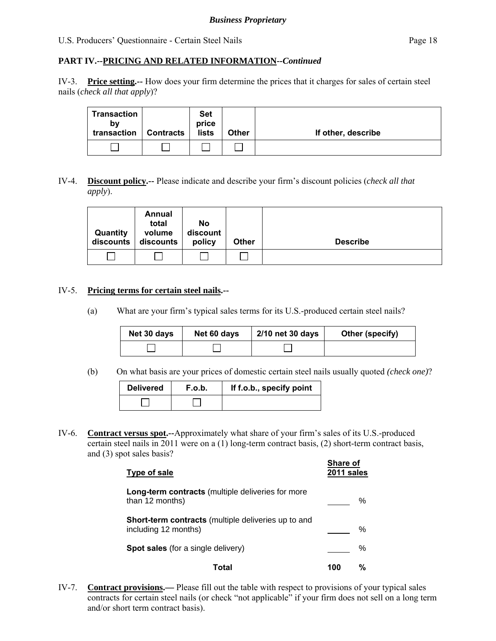IV-3. **Price setting.--** How does your firm determine the prices that it charges for sales of certain steel nails (*check all that apply*)?

| Transaction<br>bv<br>transaction | <b>Contracts</b> | <b>Set</b><br>price<br>lists | <b>Other</b> | If other, describe |
|----------------------------------|------------------|------------------------------|--------------|--------------------|
|                                  |                  |                              |              |                    |

## IV-4. **Discount policy.--** Please indicate and describe your firm's discount policies (*check all that apply*).

| Quantity<br>discounts | Annual<br>total<br>volume<br>discounts | No<br>discount<br>policy | <b>Other</b> | <b>Describe</b> |
|-----------------------|----------------------------------------|--------------------------|--------------|-----------------|
|                       |                                        |                          |              |                 |

## IV-5. **Pricing terms for certain steel nails.--**

(a) What are your firm's typical sales terms for its U.S.-produced certain steel nails?

| Net 30 days | Net 60 days | 2/10 net 30 days | Other (specify) |
|-------------|-------------|------------------|-----------------|
|             |             |                  |                 |

(b) On what basis are your prices of domestic certain steel nails usually quoted *(check one)*?

| <b>Delivered</b> | F.o.b. | If f.o.b., specify point |
|------------------|--------|--------------------------|
|                  |        |                          |

IV-6. **Contract versus spot.--**Approximately what share of your firm's sales of its U.S.-produced certain steel nails in 2011 were on a (1) long-term contract basis, (2) short-term contract basis, and (3) spot sales basis?

| Type of sale                                                                | Share of<br>2011 sales |
|-----------------------------------------------------------------------------|------------------------|
| <b>Long-term contracts</b> (multiple deliveries for more<br>than 12 months) | ℅                      |
| Short-term contracts (multiple deliveries up to and<br>including 12 months) | ℅                      |
| <b>Spot sales</b> (for a single delivery)                                   | ℅                      |
| Total                                                                       | %<br>100               |

IV-7. **Contract provisions.—** Please fill out the table with respect to provisions of your typical sales contracts for certain steel nails (or check "not applicable" if your firm does not sell on a long term and/or short term contract basis).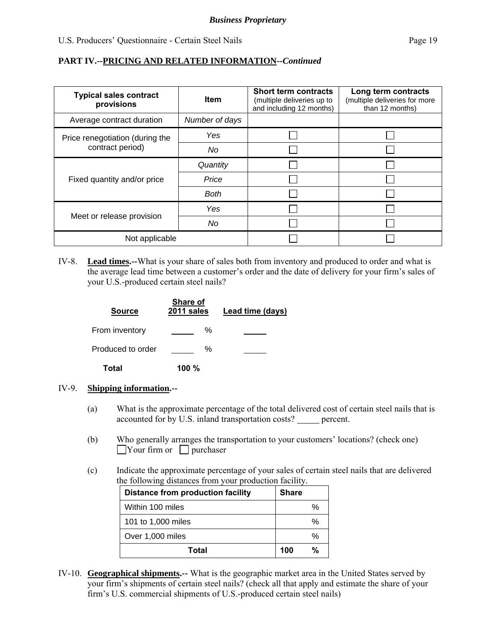# **PART IV.--PRICING AND RELATED INFORMATION***--Continued*

| <b>Typical sales contract</b><br>provisions | <b>Item</b>    | <b>Short term contracts</b><br>(multiple deliveries up to<br>and including 12 months) | Long term contracts<br>(multiple deliveries for more<br>than 12 months) |
|---------------------------------------------|----------------|---------------------------------------------------------------------------------------|-------------------------------------------------------------------------|
| Average contract duration                   | Number of days |                                                                                       |                                                                         |
| Price renegotiation (during the             | Yes            |                                                                                       |                                                                         |
| contract period)                            | No             |                                                                                       |                                                                         |
|                                             | Quantity       |                                                                                       |                                                                         |
| Fixed quantity and/or price                 | Price          |                                                                                       |                                                                         |
|                                             | <b>Both</b>    |                                                                                       |                                                                         |
|                                             | Yes            |                                                                                       |                                                                         |
| Meet or release provision                   | No             |                                                                                       |                                                                         |
| Not applicable                              |                |                                                                                       |                                                                         |

IV-8. **Lead times.--**What is your share of sales both from inventory and produced to order and what is the average lead time between a customer's order and the date of delivery for your firm's sales of your U.S.-produced certain steel nails?

| <b>Source</b>     | Share of<br>2011 sales | <b>Lead time (days)</b> |
|-------------------|------------------------|-------------------------|
| From inventory    | ℅                      |                         |
| Produced to order | ℅                      |                         |
| Total             | $100 \%$               |                         |

- IV-9. **Shipping information.--**
	- (a) What is the approximate percentage of the total delivered cost of certain steel nails that is accounted for by U.S. inland transportation costs? percent.
	- (b) Who generally arranges the transportation to your customers' locations? (check one)  $\Box$ Your firm or  $\Box$  purchaser
	- (c) Indicate the approximate percentage of your sales of certain steel nails that are delivered the following distances from your production facility.

| <b>Distance from production facility</b> | <b>Share</b> |
|------------------------------------------|--------------|
| Within 100 miles                         | %            |
| 101 to 1,000 miles                       | %            |
| Over 1,000 miles                         | %            |
| Total                                    | %<br>100     |

IV-10. **Geographical shipments.--** What is the geographic market area in the United States served by your firm's shipments of certain steel nails? (check all that apply and estimate the share of your firm's U.S. commercial shipments of U.S.-produced certain steel nails)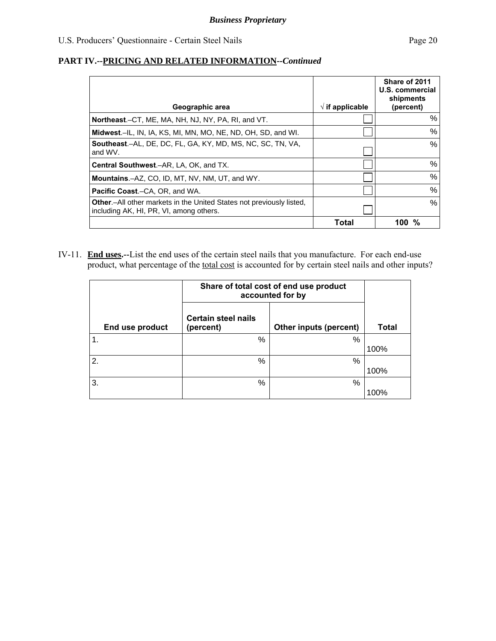| Geographic area                                                                                                         | $\sqrt{ }$ if applicable | Share of 2011<br>U.S. commercial<br>shipments<br>(percent) |
|-------------------------------------------------------------------------------------------------------------------------|--------------------------|------------------------------------------------------------|
| Northeast.–CT, ME, MA, NH, NJ, NY, PA, RI, and VT.                                                                      |                          | %                                                          |
| Midwest.-IL, IN, IA, KS, MI, MN, MO, NE, ND, OH, SD, and WI.                                                            |                          | %                                                          |
| <b>Southeast.-AL, DE, DC, FL, GA, KY, MD, MS, NC, SC, TN, VA,</b><br>and WV.                                            |                          | $\%$                                                       |
| Central Southwest.-AR, LA, OK, and TX.                                                                                  |                          | %                                                          |
| <b>Mountains.-AZ, CO, ID, MT, NV, NM, UT, and WY.</b>                                                                   |                          | %                                                          |
| <b>Pacific Coast.–CA, OR, and WA.</b>                                                                                   |                          | %                                                          |
| <b>Other.</b> —All other markets in the United States not previously listed,<br>including AK, HI, PR, VI, among others. |                          | $\%$                                                       |
|                                                                                                                         | Total                    | %<br>100                                                   |

IV-11. **End uses.--**List the end uses of the certain steel nails that you manufacture. For each end-use product, what percentage of the total cost is accounted for by certain steel nails and other inputs?

|                  | Share of total cost of end use product<br>accounted for by |                               |              |
|------------------|------------------------------------------------------------|-------------------------------|--------------|
| End use product  | <b>Certain steel nails</b><br>(percent)                    | <b>Other inputs (percent)</b> | <b>Total</b> |
| $\overline{1}$ . | %                                                          | %                             |              |
|                  |                                                            |                               | 100%         |
| 2.               | %                                                          | %                             |              |
|                  |                                                            |                               | 100%         |
| 3.               | %                                                          | %                             |              |
|                  |                                                            |                               | 100%         |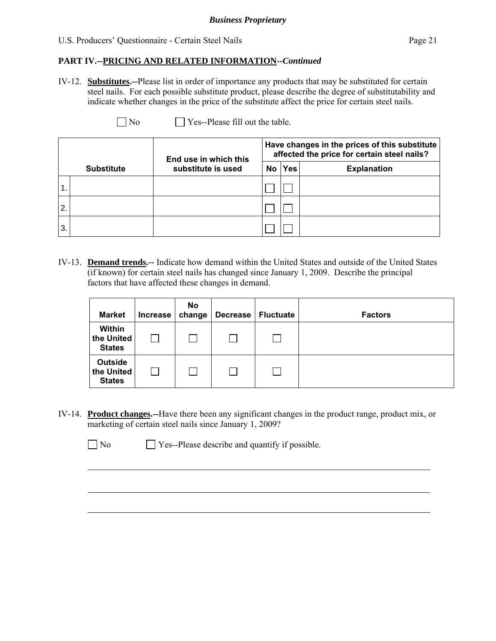### *Business Proprietary*

#### U.S. Producers' Questionnaire - Certain Steel Nails Page 21

# **PART IV.--PRICING AND RELATED INFORMATION***--Continued*

IV-12. **Substitutes.--**Please list in order of importance any products that may be substituted for certain steel nails. For each possible substitute product, please describe the degree of substitutability and indicate whether changes in the price of the substitute affect the price for certain steel nails.

| N <sub>0</sub> | $\Box$ Yes--Please fill out the table. |
|----------------|----------------------------------------|
|----------------|----------------------------------------|

|                |                   | End use in which this |      | Have changes in the prices of this substitute<br>affected the price for certain steel nails? |                    |
|----------------|-------------------|-----------------------|------|----------------------------------------------------------------------------------------------|--------------------|
|                | <b>Substitute</b> | substitute is used    | No l | <b>Yes</b>                                                                                   | <b>Explanation</b> |
|                |                   |                       |      |                                                                                              |                    |
| $\overline{2}$ |                   |                       |      |                                                                                              |                    |
| 3.             |                   |                       |      |                                                                                              |                    |

IV-13. **Demand trends.--** Indicate how demand within the United States and outside of the United States (if known) for certain steel nails has changed since January 1, 2009. Describe the principal factors that have affected these changes in demand.

| <b>Market</b>                          | Increase | No<br>change | <b>Decrease</b> | <b>Fluctuate</b> | <b>Factors</b> |
|----------------------------------------|----------|--------------|-----------------|------------------|----------------|
| Within<br>the United<br><b>States</b>  |          |              |                 |                  |                |
| Outside<br>the United<br><b>States</b> |          |              |                 |                  |                |

IV-14. **Product changes.--**Have there been any significant changes in the product range, product mix, or marketing of certain steel nails since January 1, 2009?

 $\Box$  No  $\Box$  Yes--Please describe and quantify if possible.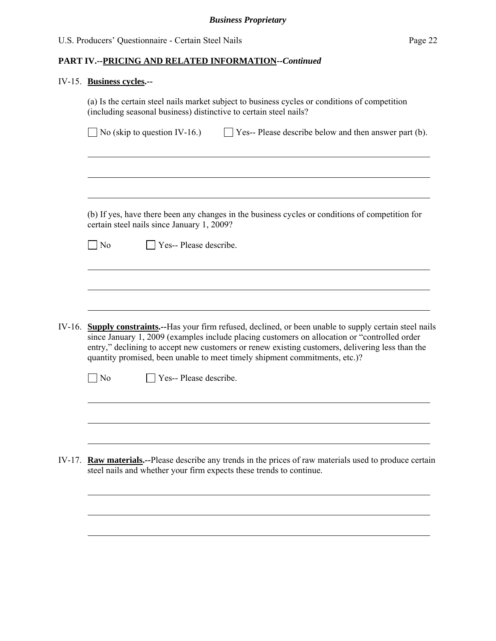# IV-15. **Business cycles.--**

|        | (a) Is the certain steel nails market subject to business cycles or conditions of competition<br>(including seasonal business) distinctive to certain steel nails?                                                                                                                                                                                                                          |
|--------|---------------------------------------------------------------------------------------------------------------------------------------------------------------------------------------------------------------------------------------------------------------------------------------------------------------------------------------------------------------------------------------------|
|        | $\Box$ No (skip to question IV-16.)<br>$\Box$ Yes-- Please describe below and then answer part (b).                                                                                                                                                                                                                                                                                         |
|        |                                                                                                                                                                                                                                                                                                                                                                                             |
|        |                                                                                                                                                                                                                                                                                                                                                                                             |
|        | (b) If yes, have there been any changes in the business cycles or conditions of competition for<br>certain steel nails since January 1, 2009?                                                                                                                                                                                                                                               |
|        | N <sub>o</sub><br>Yes-- Please describe.                                                                                                                                                                                                                                                                                                                                                    |
|        |                                                                                                                                                                                                                                                                                                                                                                                             |
|        |                                                                                                                                                                                                                                                                                                                                                                                             |
|        |                                                                                                                                                                                                                                                                                                                                                                                             |
| IV-16. | <b>Supply constraints.</b> --Has your firm refused, declined, or been unable to supply certain steel nails<br>since January 1, 2009 (examples include placing customers on allocation or "controlled order<br>entry," declining to accept new customers or renew existing customers, delivering less than the<br>quantity promised, been unable to meet timely shipment commitments, etc.)? |
|        | Yes-- Please describe.<br>$\neg$ No                                                                                                                                                                                                                                                                                                                                                         |
|        |                                                                                                                                                                                                                                                                                                                                                                                             |
|        |                                                                                                                                                                                                                                                                                                                                                                                             |
|        |                                                                                                                                                                                                                                                                                                                                                                                             |
| IV-17. | <b>Raw materials.</b> --Please describe any trends in the prices of raw materials used to produce certain<br>steel nails and whether your firm expects these trends to continue.                                                                                                                                                                                                            |
|        |                                                                                                                                                                                                                                                                                                                                                                                             |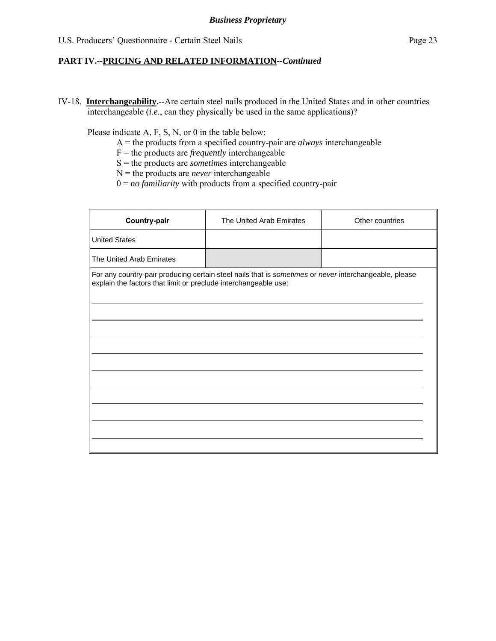IV-18. **Interchangeability.--**Are certain steel nails produced in the United States and in other countries interchangeable (*i.e.*, can they physically be used in the same applications)?

Please indicate A, F, S, N, or 0 in the table below:

- A = the products from a specified country-pair are *always* interchangeable
- F = the products are *frequently* interchangeable
- S = the products are *sometimes* interchangeable
- $N =$  the products are *never* interchangeable
- 0 = *no familiarity* with products from a specified country-pair

| Country-pair                                                    | The United Arab Emirates                                                                              | Other countries |
|-----------------------------------------------------------------|-------------------------------------------------------------------------------------------------------|-----------------|
| <b>United States</b>                                            |                                                                                                       |                 |
| The United Arab Emirates                                        |                                                                                                       |                 |
| explain the factors that limit or preclude interchangeable use: | For any country-pair producing certain steel nails that is sometimes or never interchangeable, please |                 |
|                                                                 |                                                                                                       |                 |
|                                                                 |                                                                                                       |                 |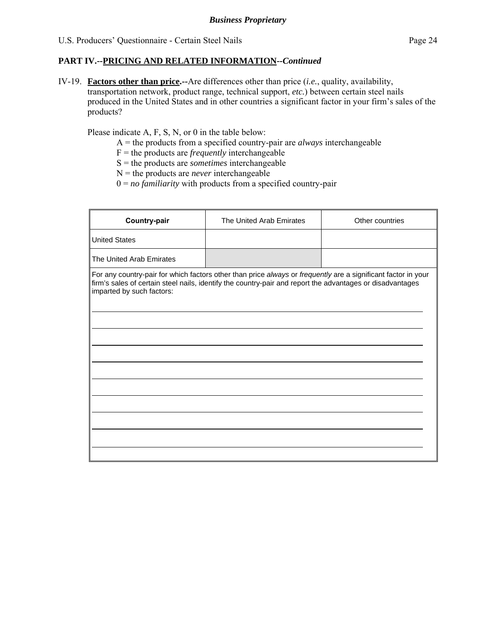IV-19. **Factors other than price.--**Are differences other than price (*i.e.*, quality, availability, transportation network, product range, technical support, *etc.*) between certain steel nails produced in the United States and in other countries a significant factor in your firm's sales of the products?

Please indicate A, F, S, N, or 0 in the table below:

- A = the products from a specified country-pair are *always* interchangeable
- F = the products are *frequently* interchangeable
- S = the products are *sometimes* interchangeable
- N = the products are *never* interchangeable
- 0 = *no familiarity* with products from a specified country-pair

| <b>Country-pair</b>       | The United Arab Emirates                                                                                                                                                                                                   | Other countries |
|---------------------------|----------------------------------------------------------------------------------------------------------------------------------------------------------------------------------------------------------------------------|-----------------|
| <b>United States</b>      |                                                                                                                                                                                                                            |                 |
| The United Arab Emirates  |                                                                                                                                                                                                                            |                 |
| imparted by such factors: | For any country-pair for which factors other than price always or frequently are a significant factor in your<br>firm's sales of certain steel nails, identify the country-pair and report the advantages or disadvantages |                 |
|                           |                                                                                                                                                                                                                            |                 |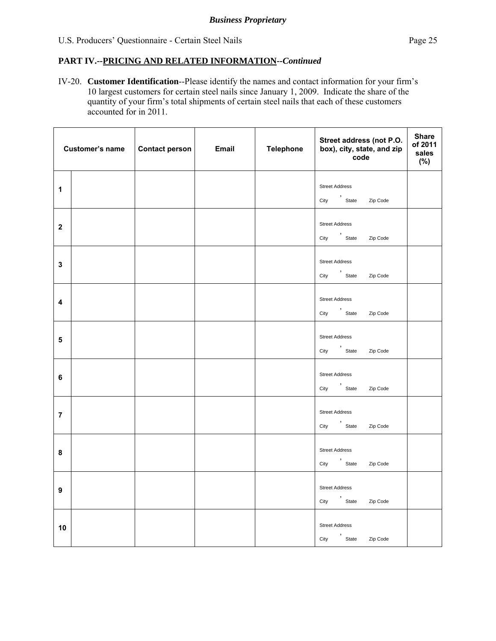IV-20. **Customer Identification**--Please identify the names and contact information for your firm's 10 largest customers for certain steel nails since January 1, 2009. Indicate the share of the quantity of your firm's total shipments of certain steel nails that each of these customers accounted for in 2011.

|                         | Customer's name | Contact person | <b>Email</b> | <b>Telephone</b> | Street address (not P.O.<br>box), city, state, and zip<br>code | <b>Share</b><br>of 2011<br>sales<br>(%) |
|-------------------------|-----------------|----------------|--------------|------------------|----------------------------------------------------------------|-----------------------------------------|
| $\mathbf{1}$            |                 |                |              |                  | <b>Street Address</b>                                          |                                         |
|                         |                 |                |              |                  | City 'State Zip Code                                           |                                         |
| $\mathbf 2$             |                 |                |              |                  | <b>Street Address</b>                                          |                                         |
|                         |                 |                |              |                  | City ,<br>City State Zip Code                                  |                                         |
|                         |                 |                |              |                  | <b>Street Address</b>                                          |                                         |
| $\mathbf{3}$            |                 |                |              |                  | City 'State Zip Code                                           |                                         |
|                         |                 |                |              |                  | <b>Street Address</b>                                          |                                         |
| 4                       |                 |                |              |                  | City 'State Zip Code                                           |                                         |
|                         |                 |                |              |                  | <b>Street Address</b>                                          |                                         |
| $\overline{\mathbf{5}}$ |                 |                |              |                  | City 'State Zip Code                                           |                                         |
|                         |                 |                |              |                  | <b>Street Address</b>                                          |                                         |
| $\bf 6$                 |                 |                |              |                  | City 'State<br>Zip Code                                        |                                         |
|                         |                 |                |              |                  | <b>Street Address</b>                                          |                                         |
| $\overline{7}$          |                 |                |              |                  | City<br>State<br>Zip Code                                      |                                         |
|                         |                 |                |              |                  | <b>Street Address</b>                                          |                                         |
| 8                       |                 |                |              |                  | City State<br>Zip Code                                         |                                         |
|                         |                 |                |              |                  | <b>Street Address</b>                                          |                                         |
| $\boldsymbol{9}$        |                 |                |              |                  | City<br>State<br>Zip Code                                      |                                         |
|                         |                 |                |              |                  | <b>Street Address</b>                                          |                                         |
| 10                      |                 |                |              |                  | City 'State Zip Code                                           |                                         |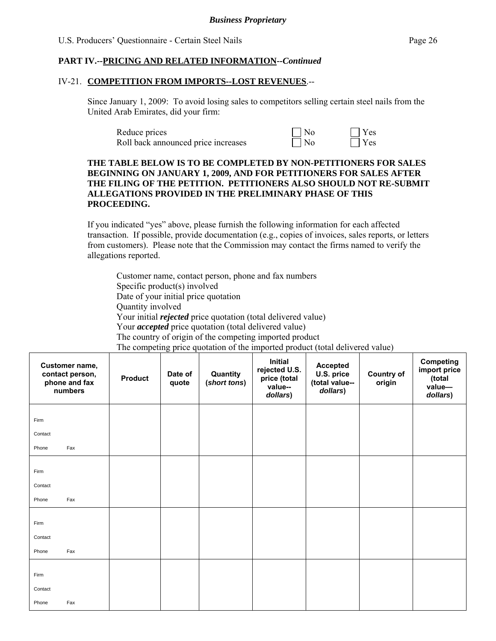#### IV-21. **COMPETITION FROM IMPORTS--LOST REVENUES**.--

Since January 1, 2009: To avoid losing sales to competitors selling certain steel nails from the United Arab Emirates, did your firm:

| Reduce prices                       | $\vert$   No | $\Box$ Yes |
|-------------------------------------|--------------|------------|
| Roll back announced price increases | $\Box$ No    | $\Box$ Yes |

#### **THE TABLE BELOW IS TO BE COMPLETED BY NON-PETITIONERS FOR SALES BEGINNING ON JANUARY 1, 2009, AND FOR PETITIONERS FOR SALES AFTER THE FILING OF THE PETITION. PETITIONERS ALSO SHOULD NOT RE-SUBMIT ALLEGATIONS PROVIDED IN THE PRELIMINARY PHASE OF THIS PROCEEDING.**

If you indicated "yes" above, please furnish the following information for each affected transaction. If possible, provide documentation (e.g., copies of invoices, sales reports, or letters from customers). Please note that the Commission may contact the firms named to verify the allegations reported.

Customer name, contact person, phone and fax numbers Specific product(s) involved Date of your initial price quotation Quantity involved Your initial *rejected* price quotation (total delivered value) Your *accepted* price quotation (total delivered value) The country of origin of the competing imported product

The competing price quotation of the imported product (total delivered value) **Customer name, contact person, phone and fax numbers Product Date of quote Quantity (***short tons***) Initial rejected U.S. price (total value-** *dollars***) Accepted U.S. price (total value-** *dollars***) Country of origin Competing import price (total value** *dollars***)**  Firm **Contact**  Phone Fax Firm **Contact**  Phone Fax Firm **Contact**  Phone Fax Firm Contact Phone Fax